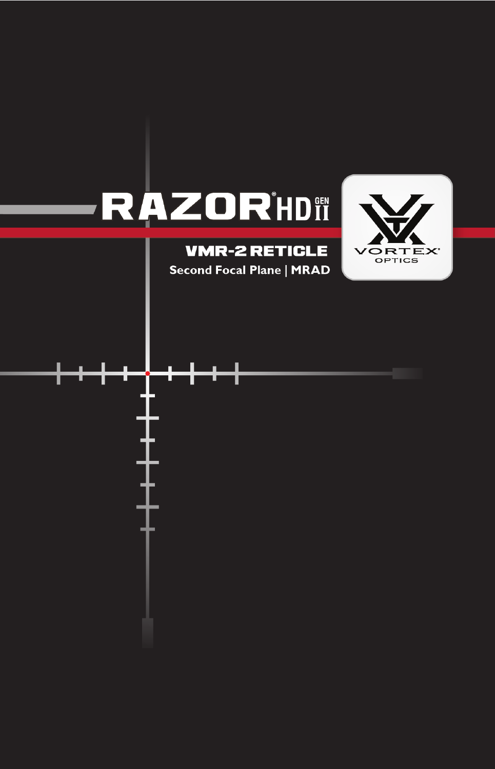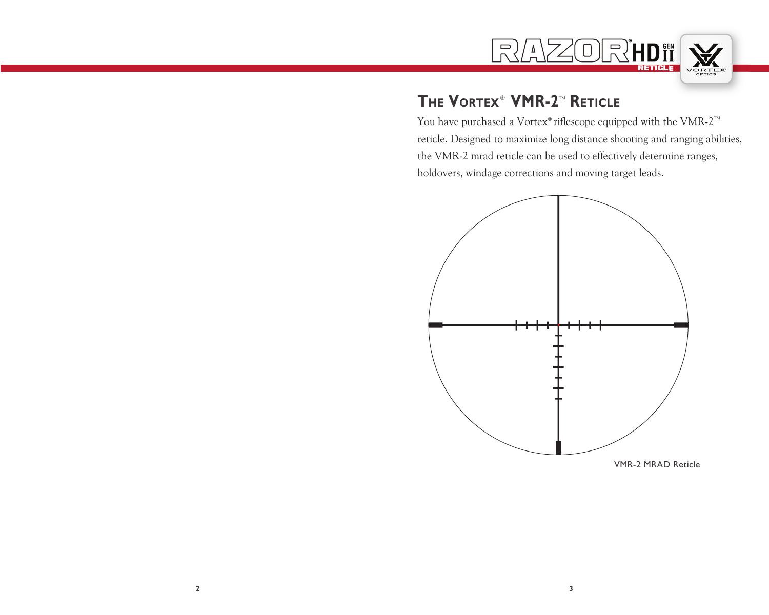

# **THE VORTEX<sup>®</sup> VMR-2<sup>™</sup> RETICLE**

You have purchased a Vortex® riflescope equipped with the VMR-2<sup>™</sup> reticle. Designed to maximize long distance shooting and ranging abilities, the VMR-2 mrad reticle can be used to effectively determine ranges, holdovers, windage corrections and moving target leads.

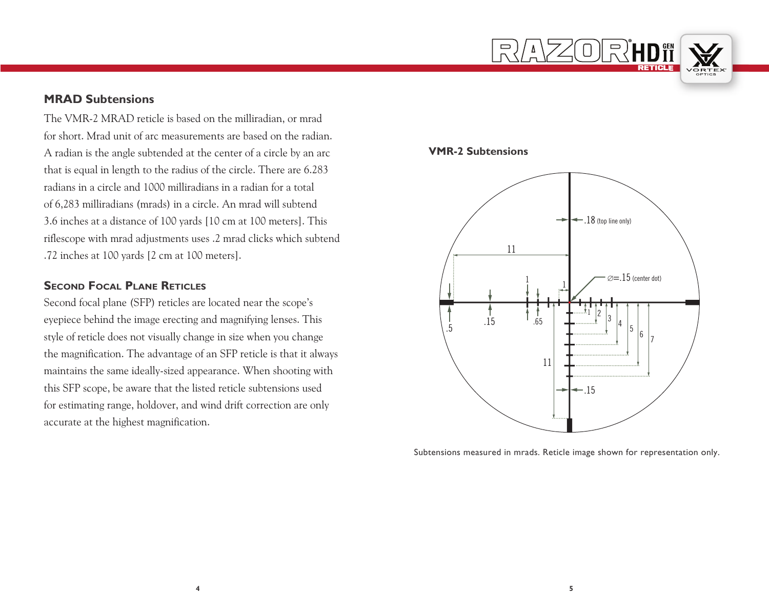

#### **MRAD Subtensions**

The VMR-2 MRAD reticle is based on the milliradian, or mrad for short. Mrad unit of arc measurements are based on the radian. A radian is the angle subtended at the center of a circle by an arc that is equal in length to the radius of the circle. There are 6.283 radians in a circle and 1000 milliradians in a radian for a total of 6,283 milliradians (mrads) in a circle. An mrad will subtend 3.6 inches at a distance of 100 yards [10 cm at 100 meters]. This riflescope with mrad adjustments uses .2 mrad clicks which subtend .72 inches at 100 yards [2 cm at 100 meters].

#### **Second Focal Plane Reticles**

Second focal plane (SFP) reticles are located near the scope's eyepiece behind the image erecting and magnifying lenses. This style of reticle does not visually change in size when you change the magnification. The advantage of an SFP reticle is that it always maintains the same ideally-sized appearance. When shooting with this SFP scope, be aware that the listed reticle subtensions used for estimating range, holdover, and wind drift correction are only accurate at the highest magnification.

#### **VMR-2 Subtensions**



Subtensions measured in mrads. Reticle image shown for representation only.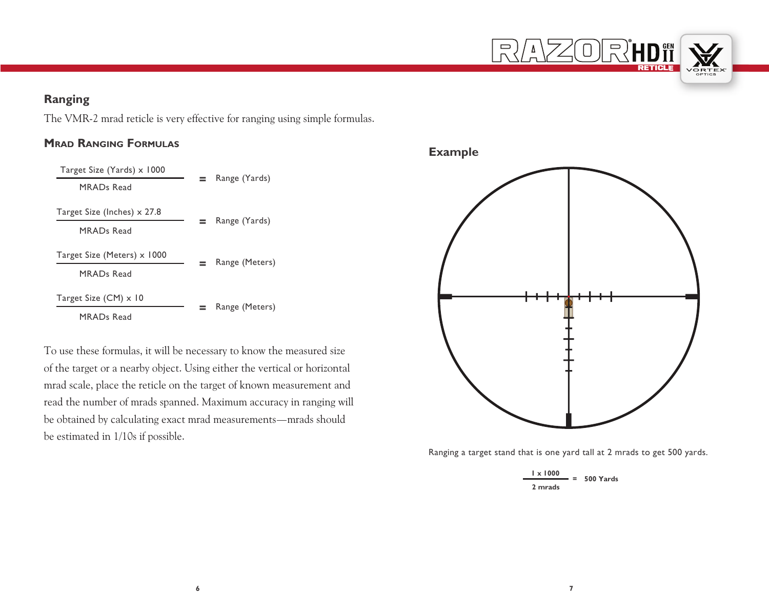

# **Ranging**

The VMR-2 mrad reticle is very effective for ranging using simple formulas.

### **Mrad Ranging Formulas**



To use these formulas, it will be necessary to know the measured size of the target or a nearby object. Using either the vertical or horizontal mrad scale, place the reticle on the target of known measurement and read the number of mrads spanned. Maximum accuracy in ranging will be obtained by calculating exact mrad measurements—mrads should be estimated in 1/10s if possible.

**Example**



Ranging a target stand that is one yard tall at 2 mrads to get 500 yards.

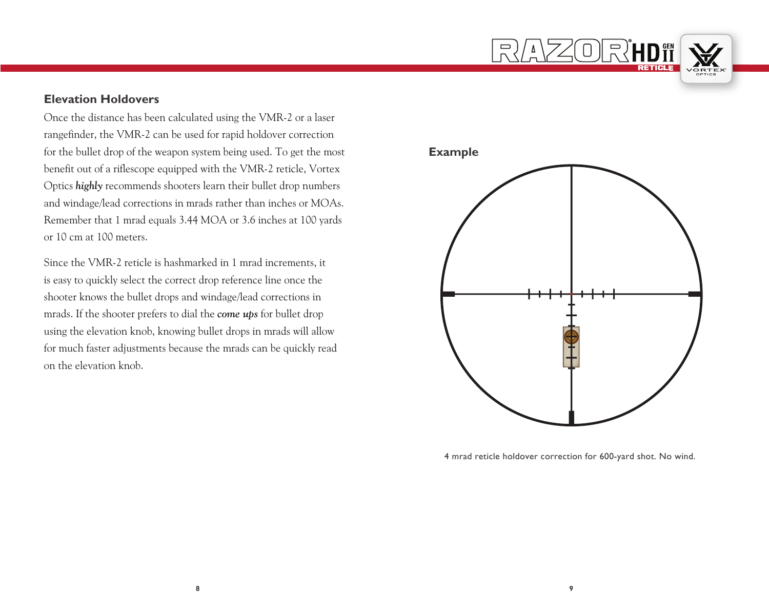

### **Elevation Holdovers**

Once the distance has been calculated using the VMR-2 or a laser rangefinder, the VMR-2 can be used for rapid holdover correction for the bullet drop of the weapon system being used. To get the most benefit out of a riflescope equipped with the VMR-2 reticle, Vortex Optics *highly* recommends shooters learn their bullet drop numbers and windage/lead corrections in mrads rather than inches or MOAs. Remember that 1 mrad equals 3.44 MOA or 3.6 inches at 100 yards or 10 cm at 100 meters.

Since the VMR-2 reticle is hashmarked in 1 mrad increments, it is easy to quickly select the correct drop reference line once the shooter knows the bullet drops and windage/lead corrections in mrads. If the shooter prefers to dial the *come ups* for bullet drop using the elevation knob, knowing bullet drops in mrads will allow for much faster adjustments because the mrads can be quickly read on the elevation knob.



4 mrad reticle holdover correction for 600-yard shot. No wind.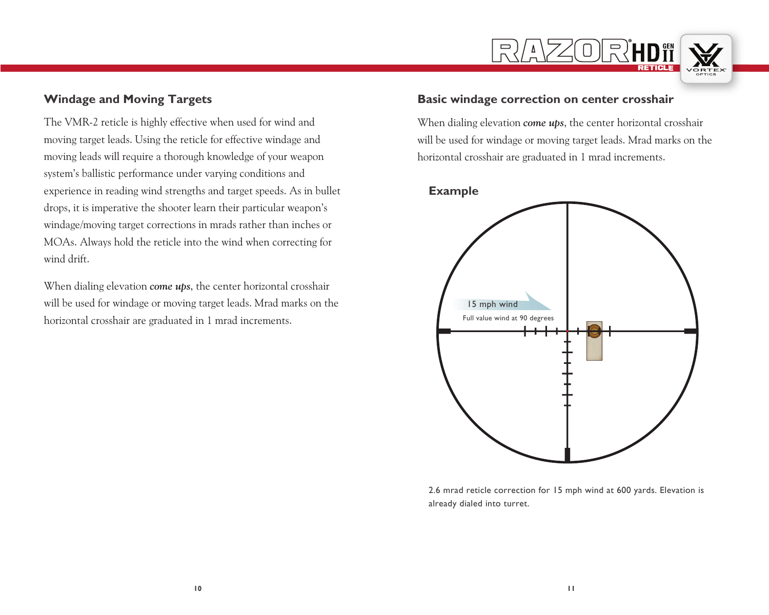

### **Windage and Moving Targets**

The VMR-2 reticle is highly effective when used for wind and moving target leads. Using the reticle for effective windage and moving leads will require a thorough knowledge of your weapon system's ballistic performance under varying conditions and experience in reading wind strengths and target speeds. As in bullet drops, it is imperative the shooter learn their particular weapon's windage/moving target corrections in mrads rather than inches or MOAs. Always hold the reticle into the wind when correcting for wind drift.

When dialing elevation *come ups*, the center horizontal crosshair will be used for windage or moving target leads. Mrad marks on the horizontal crosshair are graduated in 1 mrad increments.

### **Basic windage correction on center crosshair**

When dialing elevation *come ups*, the center horizontal crosshair will be used for windage or moving target leads. Mrad marks on the horizontal crosshair are graduated in 1 mrad increments.

#### **Example**



2.6 mrad reticle correction for 15 mph wind at 600 yards. Elevation is already dialed into turret.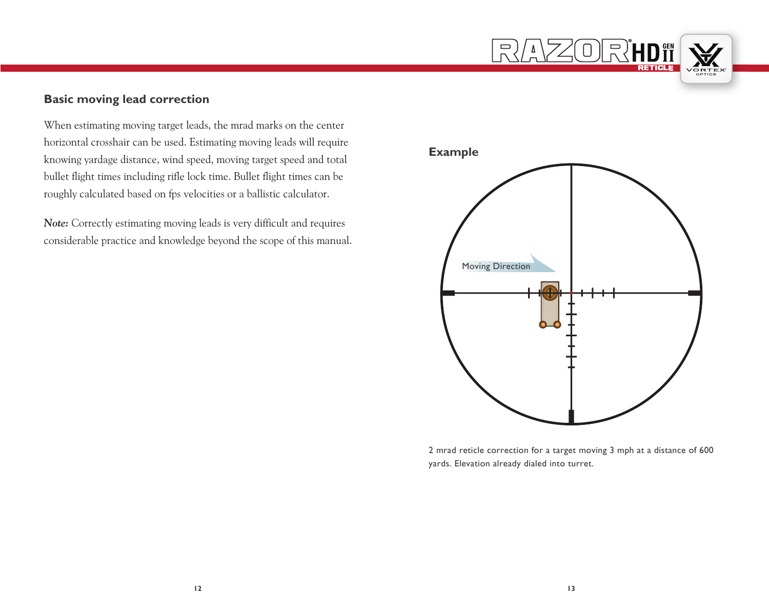

# **Basic moving lead correction**

When estimating moving target leads, the mrad marks on the center horizontal crosshair can be used. Estimating moving leads will require knowing yardage distance, wind speed, moving target speed and total bullet flight times including rifle lock time. Bullet flight times can be roughly calculated based on fps velocities or a ballistic calculator.

*Note:* Correctly estimating moving leads is very difficult and requires considerable practice and knowledge beyond the scope of this manual.



2 mrad reticle correction for a target moving 3 mph at a distance of 600 yards. Elevation already dialed into turret.